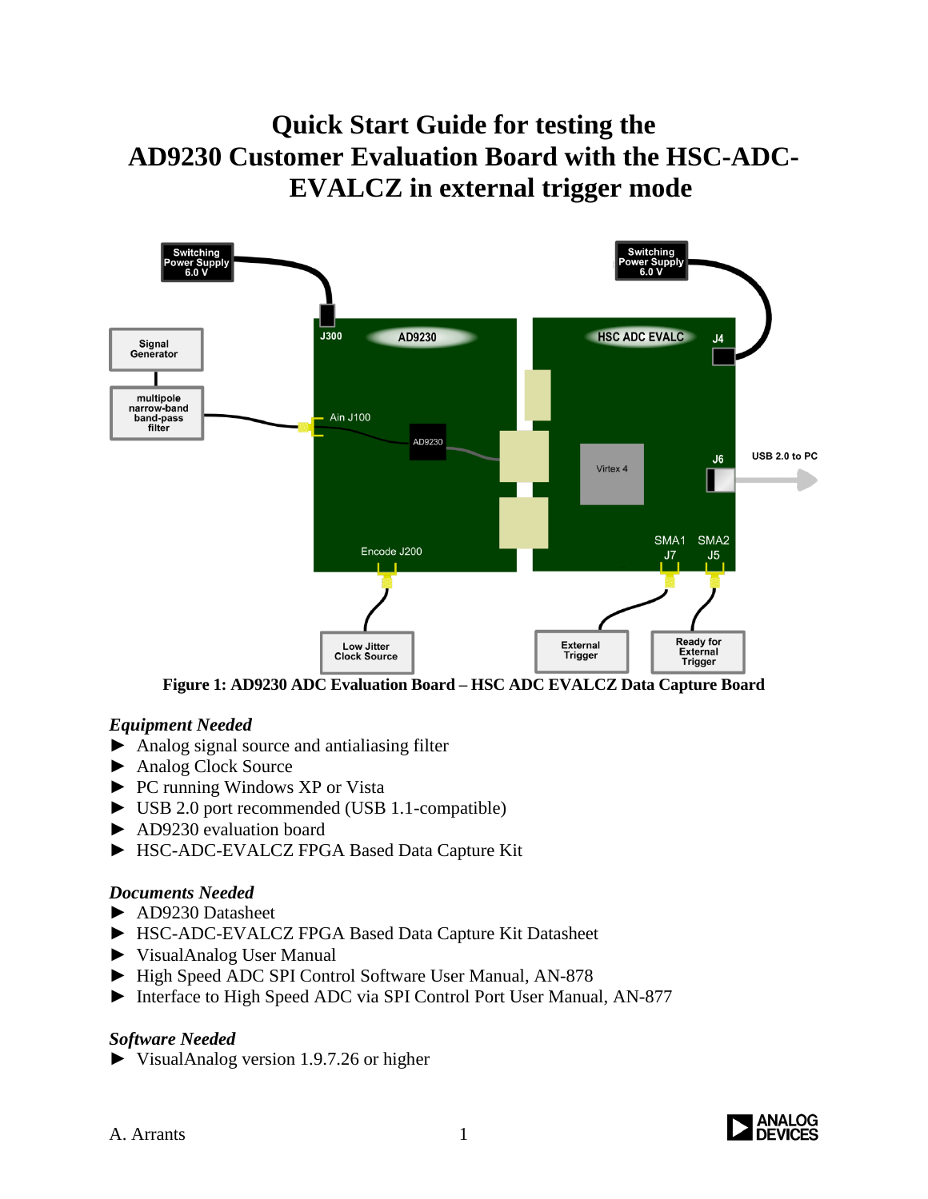# **Quick Start Guide for testing the AD9230 Customer Evaluation Board with the HSC-ADC-EVALCZ in external trigger mode**



**Figure 1: AD9230 ADC Evaluation Board – HSC ADC EVALCZ Data Capture Board**

### *Equipment Needed*

- ► Analog signal source and antialiasing filter
- ► Analog Clock Source
- ► PC running Windows XP or Vista
- ► USB 2.0 port recommended (USB 1.1-compatible)
- ► AD9230 evaluation board
- ► HSC-ADC-EVALCZ FPGA Based Data Capture Kit

#### *Documents Needed*

- ► AD9230 Datasheet
- ► HSC-ADC-EVALCZ FPGA Based Data Capture Kit Datasheet
- ► VisualAnalog User Manual
- ► High Speed ADC SPI Control Software User Manual, AN-878
- ► Interface to High Speed ADC via SPI Control Port User Manual, AN-877

### *Software Needed*

► VisualAnalog version 1.9.7.26 or higher

A. Arrants 1

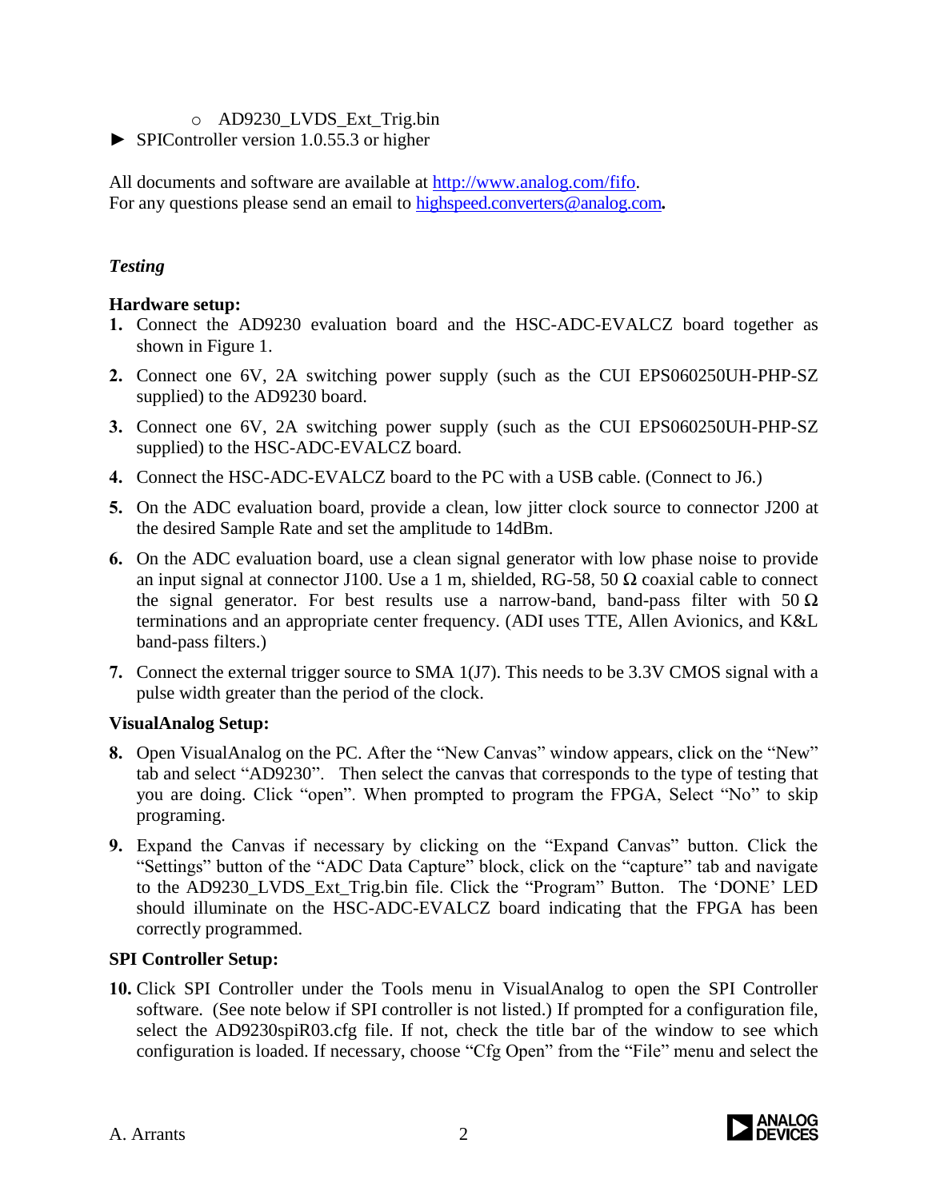#### o AD9230\_LVDS\_Ext\_Trig.bin

► SPIController version 1.0.55.3 or higher

All documents and software are available at [http://www.analog.com/fifo.](http://www.analog.com/fifo) For any questions please send an email to [highspeed.converters@analog.com](mailto:highspeed.converters@analog.com).

## *Testing*

### **Hardware setup:**

- **1.** Connect the AD9230 evaluation board and the HSC-ADC-EVALCZ board together as shown in Figure 1.
- **2.** Connect one 6V, 2A switching power supply (such as the CUI EPS060250UH-PHP-SZ supplied) to the AD9230 board.
- **3.** Connect one 6V, 2A switching power supply (such as the CUI EPS060250UH-PHP-SZ supplied) to the HSC-ADC-EVALCZ board.
- **4.** Connect the HSC-ADC-EVALCZ board to the PC with a USB cable. (Connect to J6.)
- **5.** On the ADC evaluation board, provide a clean, low jitter clock source to connector J200 at the desired Sample Rate and set the amplitude to 14dBm.
- **6.** On the ADC evaluation board, use a clean signal generator with low phase noise to provide an input signal at connector J100. Use a 1 m, shielded, RG-58, 50  $\Omega$  coaxial cable to connect the signal generator. For best results use a narrow-band, band-pass filter with  $50 \Omega$ terminations and an appropriate center frequency. (ADI uses TTE, Allen Avionics, and K&L band-pass filters.)
- **7.** Connect the external trigger source to SMA 1(J7). This needs to be 3.3V CMOS signal with a pulse width greater than the period of the clock.

### **VisualAnalog Setup:**

- **8.** Open VisualAnalog on the PC. After the "New Canvas" window appears, click on the "New" tab and select "AD9230". Then select the canvas that corresponds to the type of testing that you are doing. Click "open". When prompted to program the FPGA, Select "No" to skip programing.
- **9.** Expand the Canvas if necessary by clicking on the "Expand Canvas" button. Click the "Settings" button of the "ADC Data Capture" block, click on the "capture" tab and navigate to the AD9230\_LVDS\_Ext\_Trig.bin file. Click the "Program" Button. The 'DONE' LED should illuminate on the HSC-ADC-EVALCZ board indicating that the FPGA has been correctly programmed.

### **SPI Controller Setup:**

**10.** Click SPI Controller under the Tools menu in VisualAnalog to open the SPI Controller software. (See note below if SPI controller is not listed.) If prompted for a configuration file, select the AD9230spiR03.cfg file. If not, check the title bar of the window to see which configuration is loaded. If necessary, choose "Cfg Open" from the "File" menu and select the

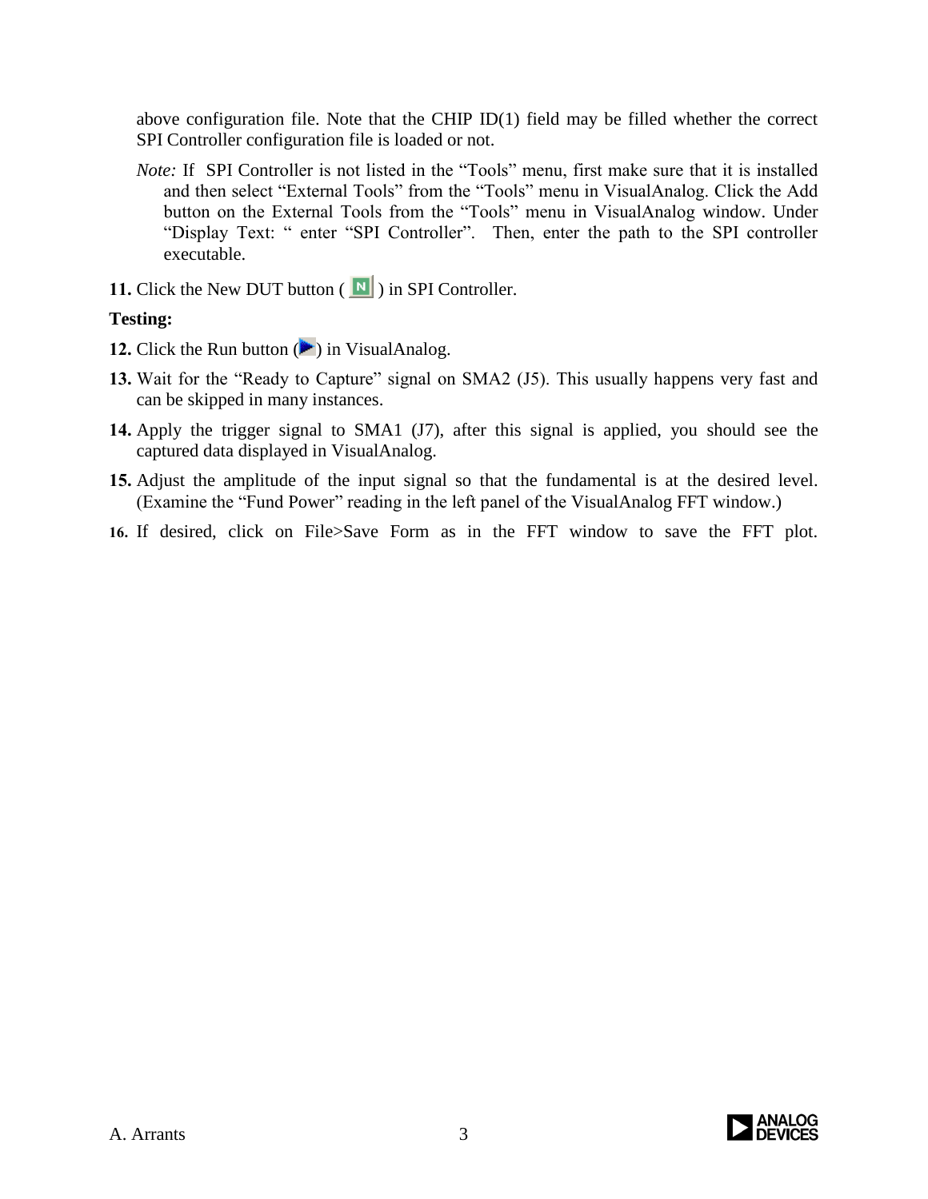above configuration file. Note that the CHIP ID(1) field may be filled whether the correct SPI Controller configuration file is loaded or not.

- *Note:* If SPI Controller is not listed in the "Tools" menu, first make sure that it is installed and then select "External Tools" from the "Tools" menu in VisualAnalog. Click the Add button on the External Tools from the "Tools" menu in VisualAnalog window. Under "Display Text: " enter "SPI Controller". Then, enter the path to the SPI controller executable.
- **11.** Click the New DUT button  $\left(\begin{array}{c} \blacksquare \\ \blacksquare \end{array}\right)$  in SPI Controller.

## **Testing:**

- **12.** Click the Run button  $(\blacktriangleright)$  in VisualAnalog.
- 13. Wait for the "Ready to Capture" signal on SMA2 (J5). This usually happens very fast and can be skipped in many instances.
- **14.** Apply the trigger signal to SMA1 (J7), after this signal is applied, you should see the captured data displayed in VisualAnalog.
- **15.** Adjust the amplitude of the input signal so that the fundamental is at the desired level. (Examine the "Fund Power" reading in the left panel of the VisualAnalog FFT window.)
- **16.** If desired, click on File>Save Form as in the FFT window to save the FFT plot.

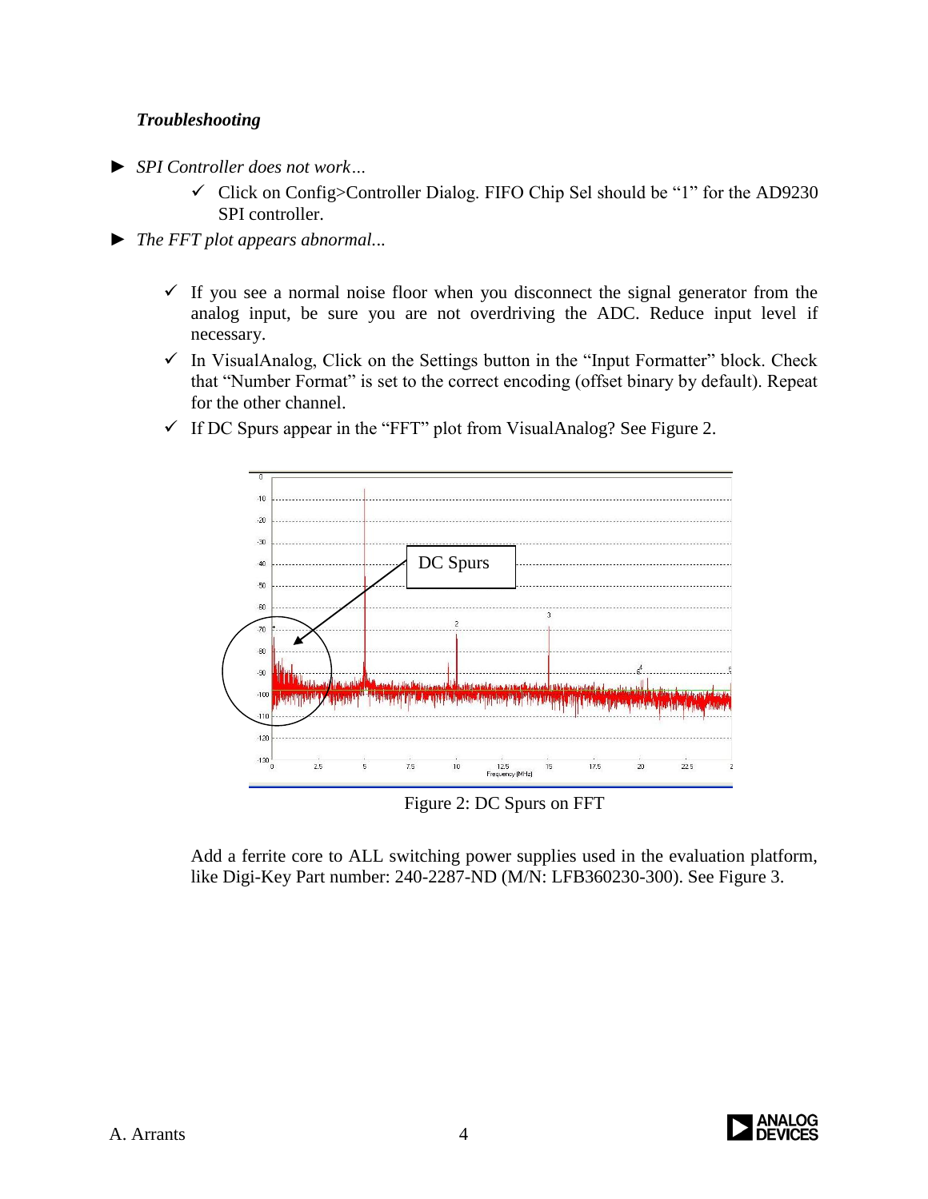## *Troubleshooting*

- ► *SPI Controller does not work…*
	- $\checkmark$  Click on Config>Controller Dialog. FIFO Chip Sel should be "1" for the AD9230 SPI controller.
- ► *The FFT plot appears abnormal.*..
	- $\checkmark$  If you see a normal noise floor when you disconnect the signal generator from the analog input, be sure you are not overdriving the ADC. Reduce input level if necessary.
	- $\checkmark$  In VisualAnalog, Click on the Settings button in the "Input Formatter" block. Check that "Number Format" is set to the correct encoding (offset binary by default). Repeat for the other channel.



 $\checkmark$  If DC Spurs appear in the "FFT" plot from VisualAnalog? See Figure 2.

Figure 2: DC Spurs on FFT

Add a ferrite core to ALL switching power supplies used in the evaluation platform, like Digi-Key Part number: 240-2287-ND (M/N: LFB360230-300). See Figure 3.